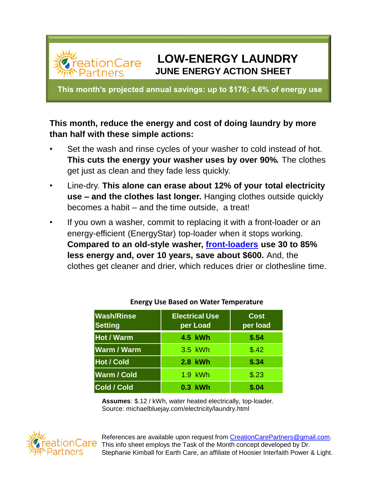# **LOW-ENERGY LAUNDRY JUNE ENERGY ACTION SHEET**

**This month's projected annual savings: up to \$176; 4.6% of energy use**

**ationCare** 

## **This month, reduce the energy and cost of doing laundry by more than half with these simple actions:**

- Set the wash and rinse cycles of your washer to cold instead of hot. **This cuts the energy your washer uses by over 90%***.* The clothes get just as clean and they fade less quickly.
- Line-dry. **This alone can erase about 12% of your total electricity use – and the clothes last longer.** Hanging clothes outside quickly becomes a habit – and the time outside, a treat!
- If you own a washer, commit to replacing it with a front-loader or an energy-efficient (EnergyStar) top-loader when it stops working. **Compared to an old-style washer, [front-loaders](https://www.energystar.gov/products/ask-the-experts/which-clothes-washer-should-i-choose-front-load-or-top-load) use 30 to 85% less energy and, over 10 years, save about \$600.** And, the clothes get cleaner and drier, which reduces drier or clothesline time.

| <b>Wash/Rinse</b><br><b>Setting</b> | <b>Electrical Use</b><br>per Load | <b>Cost</b><br>per load |
|-------------------------------------|-----------------------------------|-------------------------|
| <b>Hot / Warm</b>                   | 4.5 kWh                           | \$.54                   |
| <b>Warm / Warm</b>                  | 3.5 kWh                           | \$.42                   |
| <b>Hot / Cold</b>                   | 2.8 kWh                           | \$.34                   |
| Warm / Cold                         | 1.9 kWh                           | \$.23                   |
| <b>Cold / Cold</b>                  | 0.3 kWh                           | \$.04                   |

#### **Energy Use Based on Water Temperature**

**Assumes**: \$.12 / kWh, water heated electrically, top-loader. Source: michaelbluejay.com/electricity/laundry.html



References are available upon request from [CreationCarePartners@gmail.com](mailto:CreationCarePartners@gmail.com). This info sheet employs the Task of the Month concept developed by Dr. Stephanie Kimball for Earth Care, an affiliate of Hoosier Interfaith Power & Light.